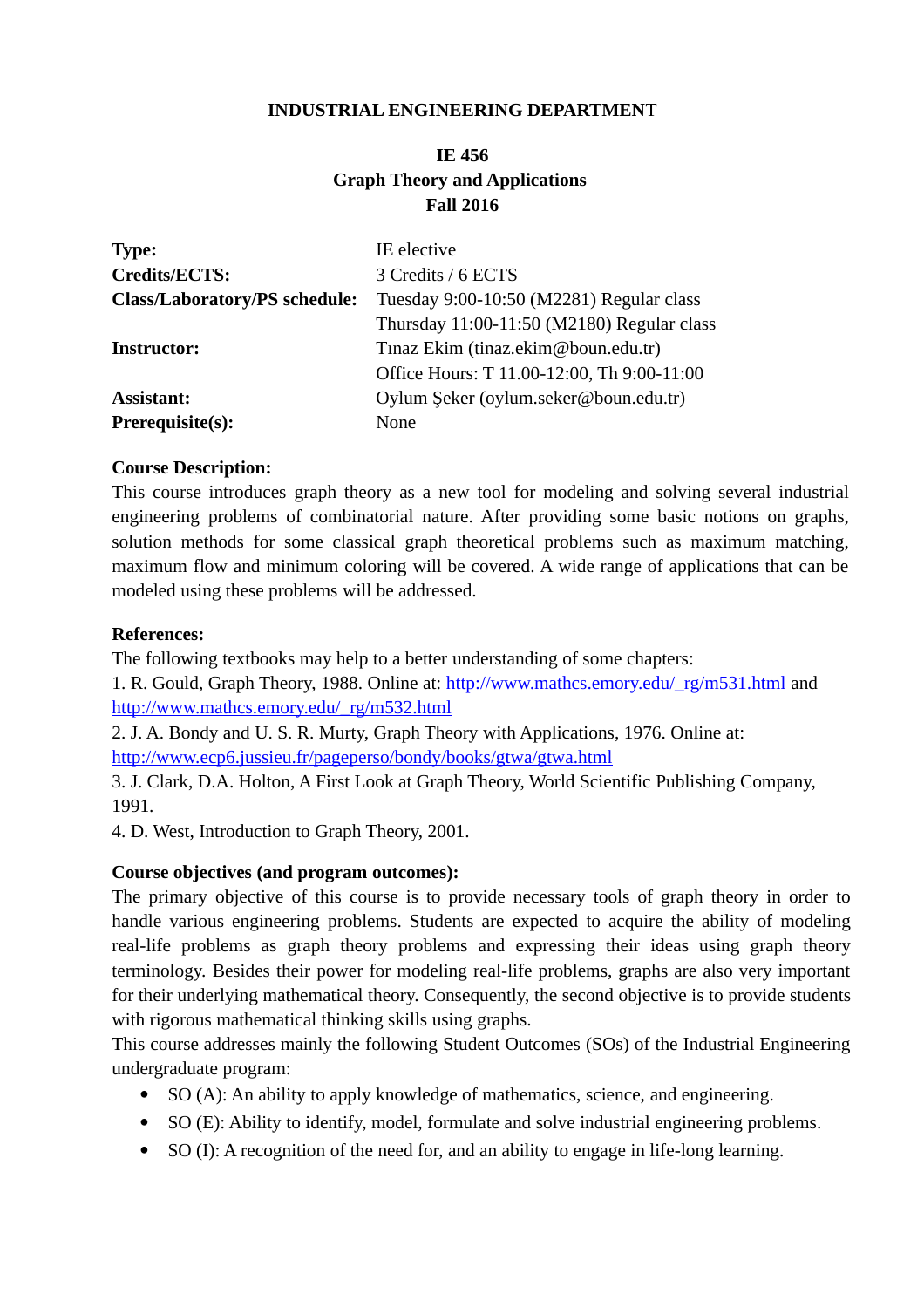#### **INDUSTRIAL ENGINEERING DEPARTMEN**T

# **IE 456 Graph Theory and Applications Fall 2016**

| <b>Type:</b>                         | IE elective                                |
|--------------------------------------|--------------------------------------------|
| Credits/ECTS:                        | 3 Credits / 6 ECTS                         |
| <b>Class/Laboratory/PS schedule:</b> | Tuesday 9:00-10:50 (M2281) Regular class   |
|                                      | Thursday 11:00-11:50 (M2180) Regular class |
| <b>Instructor:</b>                   | Tinaz Ekim (tinaz.ekim@boun.edu.tr)        |
|                                      | Office Hours: T 11.00-12:00, Th 9:00-11:00 |
| <b>Assistant:</b>                    | Oylum Şeker (oylum.seker@boun.edu.tr)      |
| Prerequisite(s):                     | None                                       |

#### **Course Description:**

This course introduces graph theory as a new tool for modeling and solving several industrial engineering problems of combinatorial nature. After providing some basic notions on graphs, solution methods for some classical graph theoretical problems such as maximum matching, maximum flow and minimum coloring will be covered. A wide range of applications that can be modeled using these problems will be addressed.

#### **References:**

The following textbooks may help to a better understanding of some chapters:

1. R. Gould, Graph Theory, 1988. Online at: [http://www.mathcs.emory.edu/\\_rg/m531.html](http://www.mathcs.emory.edu/_rg/m531.html) and [http://www.mathcs.emory.edu/\\_rg/m532.html](http://www.mathcs.emory.edu/_rg/m532.html)

2. J. A. Bondy and U. S. R. Murty, Graph Theory with Applications, 1976. Online at: <http://www.ecp6.jussieu.fr/pageperso/bondy/books/gtwa/gtwa.html>

3. J. Clark, D.A. Holton, A First Look at Graph Theory, World Scientific Publishing Company, 1991.

4. D. West, Introduction to Graph Theory, 2001.

#### **Course objectives (and program outcomes):**

The primary objective of this course is to provide necessary tools of graph theory in order to handle various engineering problems. Students are expected to acquire the ability of modeling real-life problems as graph theory problems and expressing their ideas using graph theory terminology. Besides their power for modeling real-life problems, graphs are also very important for their underlying mathematical theory. Consequently, the second objective is to provide students with rigorous mathematical thinking skills using graphs.

This course addresses mainly the following Student Outcomes (SOs) of the Industrial Engineering undergraduate program:

- SO (A): An ability to apply knowledge of mathematics, science, and engineering.
- SO (E): Ability to identify, model, formulate and solve industrial engineering problems.
- SO (I): A recognition of the need for, and an ability to engage in life-long learning.